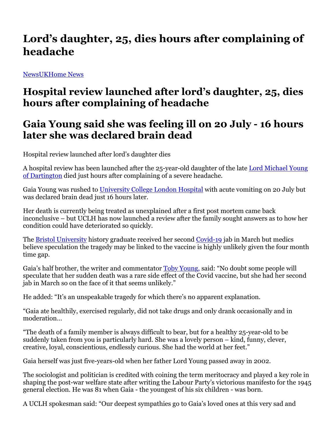## **Lord's daughter, 25, dies hours after complaining of headache**

NewsUKHome News

## **Hospital review launched after lord's daughter, 25, dies hours after complaining of headache**

## **Gaia Young said she was feeling ill on 20 July - 16 hours later she was declared brain dead**

Hospital review launched after lord's daughter dies

A hospital review has been launched after the 25-year-old daughter of the late Lord Michael Young of Dartington died just hours after complaining of a severe headache.

Gaia Young was rushed to University College London Hospital with acute vomiting on 20 July but was declared brain dead just 16 hours later.

Her death is currently being treated as unexplained after a first post mortem came back inconclusive – but UCLH has now launched a review after the family sought answers as to how her condition could have deteriorated so quickly.

The **Bristol University** history graduate received her second Covid-19 jab in March but medics believe speculation the tragedy may be linked to the vaccine is highly unlikely given the four month time gap.

Gaia's half brother, the writer and commentator Toby Young, said: "No doubt some people will speculate that her sudden death was a rare side effect of the Covid vaccine, but she had her second jab in March so on the face of it that seems unlikely."

He added: "It's an unspeakable tragedy for which there's no apparent explanation.

"Gaia ate healthily, exercised regularly, did not take drugs and only drank occasionally and in moderation…

"The death of a family member is always difficult to bear, but for a healthy 25-year-old to be suddenly taken from you is particularly hard. She was a lovely person – kind, funny, clever, creative, loyal, conscientious, endlessly curious. She had the world at her feet."

Gaia herself was just five-years-old when her father Lord Young passed away in 2002.

The sociologist and politician is credited with coining the term meritocracy and played a key role in shaping the post-war welfare state after writing the Labour Party's victorious manifesto for the 1945 general election. He was 81 when Gaia - the youngest of his six children - was born.

A UCLH spokesman said: "Our deepest sympathies go to Gaia's loved ones at this very sad and